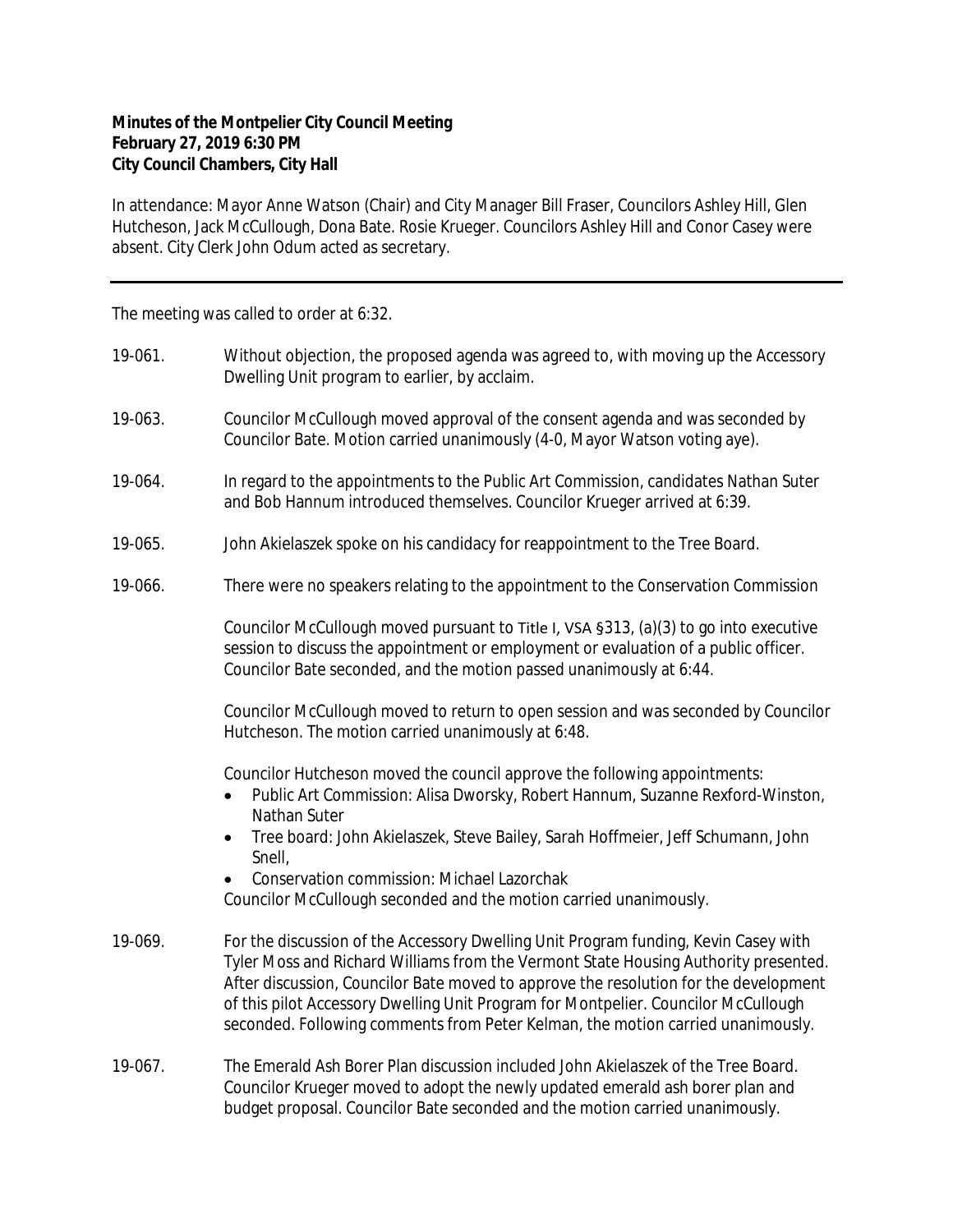## **Minutes of the Montpelier City Council Meeting February 27, 2019 6:30 PM City Council Chambers, City Hall**

In attendance: Mayor Anne Watson (Chair) and City Manager Bill Fraser, Councilors Ashley Hill, Glen Hutcheson, Jack McCullough, Dona Bate. Rosie Krueger. Councilors Ashley Hill and Conor Casey were absent. City Clerk John Odum acted as secretary.

The meeting was called to order at 6:32.

| 19-061. | Without objection, the proposed agenda was agreed to, with moving up the Accessory<br>Dwelling Unit program to earlier, by acclaim.                                                                                                                                                                                                                                                                                                         |
|---------|---------------------------------------------------------------------------------------------------------------------------------------------------------------------------------------------------------------------------------------------------------------------------------------------------------------------------------------------------------------------------------------------------------------------------------------------|
| 19-063. | Councilor McCullough moved approval of the consent agenda and was seconded by<br>Councilor Bate. Motion carried unanimously (4-0, Mayor Watson voting aye).                                                                                                                                                                                                                                                                                 |
| 19-064. | In regard to the appointments to the Public Art Commission, candidates Nathan Suter<br>and Bob Hannum introduced themselves. Councilor Krueger arrived at 6:39.                                                                                                                                                                                                                                                                             |
| 19-065. | John Akielaszek spoke on his candidacy for reappointment to the Tree Board.                                                                                                                                                                                                                                                                                                                                                                 |
| 19-066. | There were no speakers relating to the appointment to the Conservation Commission                                                                                                                                                                                                                                                                                                                                                           |
|         | Councilor McCullough moved pursuant to Title I, VSA §313, (a)(3) to go into executive<br>session to discuss the appointment or employment or evaluation of a public officer.<br>Councilor Bate seconded, and the motion passed unanimously at 6:44.                                                                                                                                                                                         |
|         | Councilor McCullough moved to return to open session and was seconded by Councilor<br>Hutcheson. The motion carried unanimously at 6:48.                                                                                                                                                                                                                                                                                                    |
|         | Councilor Hutcheson moved the council approve the following appointments:<br>Public Art Commission: Alisa Dworsky, Robert Hannum, Suzanne Rexford-Winston,<br>$\bullet$<br>Nathan Suter                                                                                                                                                                                                                                                     |
|         | Tree board: John Akielaszek, Steve Bailey, Sarah Hoffmeier, Jeff Schumann, John<br>$\bullet$<br>Snell,                                                                                                                                                                                                                                                                                                                                      |
|         | Conservation commission: Michael Lazorchak<br>Councilor McCullough seconded and the motion carried unanimously.                                                                                                                                                                                                                                                                                                                             |
| 19-069. | For the discussion of the Accessory Dwelling Unit Program funding, Kevin Casey with<br>Tyler Moss and Richard Williams from the Vermont State Housing Authority presented.<br>After discussion, Councilor Bate moved to approve the resolution for the development<br>of this pilot Accessory Dwelling Unit Program for Montpelier. Councilor McCullough<br>seconded. Following comments from Peter Kelman, the motion carried unanimously. |
| 19-067. | The Emerald Ash Borer Plan discussion included John Akielaszek of the Tree Board.<br>Councilor Krueger moved to adopt the newly updated emerald ash borer plan and<br>budget proposal. Councilor Bate seconded and the motion carried unanimously.                                                                                                                                                                                          |